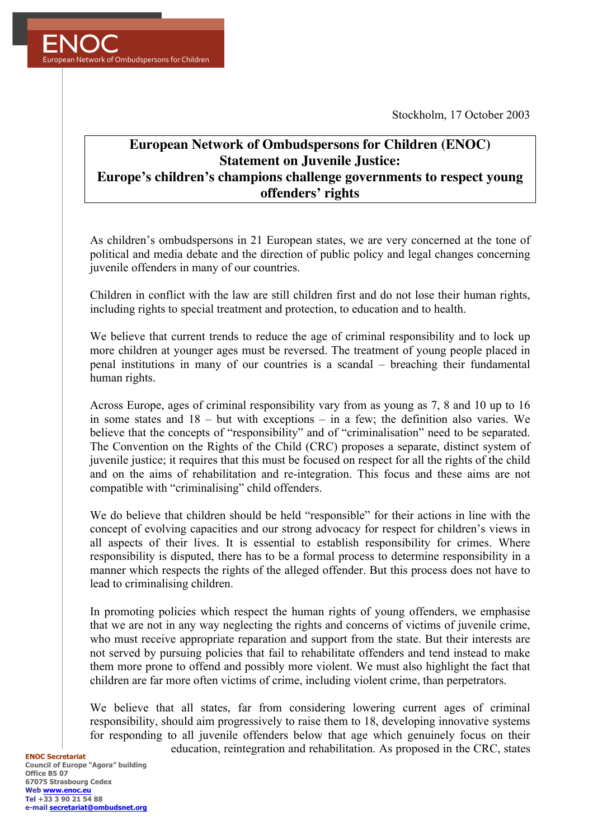Stockholm, 17 October 2003



## **European Network of Ombudspersons for Children (ENOC) Statement on Juvenile Justice: Europe's children's champions challenge governments to respect young offenders' rights**

As children's ombudspersons in 21 European states, we are very concerned at the tone of political and media debate and the direction of public policy and legal changes concerning juvenile offenders in many of our countries.

Children in conflict with the law are still children first and do not lose their human rights, including rights to special treatment and protection, to education and to health.

We believe that current trends to reduce the age of criminal responsibility and to lock up more children at younger ages must be reversed. The treatment of young people placed in penal institutions in many of our countries is a scandal – breaching their fundamental human rights.

Across Europe, ages of criminal responsibility vary from as young as 7, 8 and 10 up to 16 in some states and 18 – but with exceptions – in a few; the definition also varies. We believe that the concepts of "responsibility" and of "criminalisation" need to be separated. The Convention on the Rights of the Child (CRC) proposes a separate, distinct system of juvenile justice; it requires that this must be focused on respect for all the rights of the child and on the aims of rehabilitation and re-integration. This focus and these aims are not compatible with "criminalising" child offenders.

We do believe that children should be held "responsible" for their actions in line with the concept of evolving capacities and our strong advocacy for respect for children's views in all aspects of their lives. It is essential to establish responsibility for crimes. Where responsibility is disputed, there has to be a formal process to determine responsibility in a manner which respects the rights of the alleged offender. But this process does not have to lead to criminalising children.

In promoting policies which respect the human rights of young offenders, we emphasise that we are not in any way neglecting the rights and concerns of victims of juvenile crime, who must receive appropriate reparation and support from the state. But their interests are not served by pursuing policies that fail to rehabilitate offenders and tend instead to make them more prone to offend and possibly more violent. We must also highlight the fact that children are far more often victims of crime, including violent crime, than perpetrators.

We believe that all states, far from considering lowering current ages of criminal responsibility, should aim progressively to raise them to 18, developing innovative systems for responding to all juvenile offenders below that age which genuinely focus on their education, reintegration and rehabilitation. As proposed in the CRC, states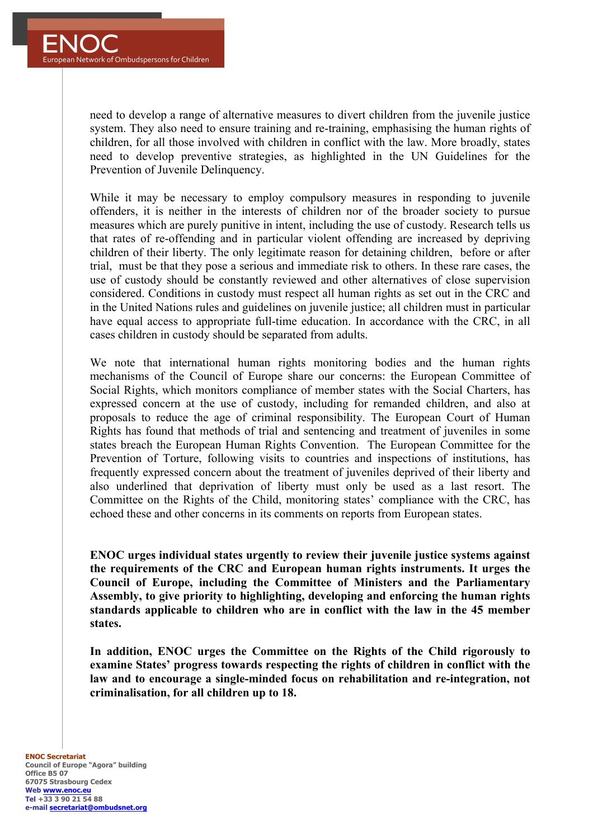need to develop a range of alternative measures to divert children from the juvenile justice system. They also need to ensure training and re-training, emphasising the human rights of children, for all those involved with children in conflict with the law. More broadly, states need to develop preventive strategies, as highlighted in the UN Guidelines for the Prevention of Juvenile Delinquency.

While it may be necessary to employ compulsory measures in responding to juvenile offenders, it is neither in the interests of children nor of the broader society to pursue measures which are purely punitive in intent, including the use of custody. Research tells us that rates of re-offending and in particular violent offending are increased by depriving children of their liberty. The only legitimate reason for detaining children, before or after trial, must be that they pose a serious and immediate risk to others. In these rare cases, the use of custody should be constantly reviewed and other alternatives of close supervision considered. Conditions in custody must respect all human rights as set out in the CRC and in the United Nations rules and guidelines on juvenile justice; all children must in particular have equal access to appropriate full-time education. In accordance with the CRC, in all cases children in custody should be separated from adults.

We note that international human rights monitoring bodies and the human rights mechanisms of the Council of Europe share our concerns: the European Committee of Social Rights, which monitors compliance of member states with the Social Charters, has expressed concern at the use of custody, including for remanded children, and also at proposals to reduce the age of criminal responsibility. The European Court of Human Rights has found that methods of trial and sentencing and treatment of juveniles in some states breach the European Human Rights Convention. The European Committee for the Prevention of Torture, following visits to countries and inspections of institutions, has frequently expressed concern about the treatment of juveniles deprived of their liberty and also underlined that deprivation of liberty must only be used as a last resort. The Committee on the Rights of the Child, monitoring states' compliance with the CRC, has echoed these and other concerns in its comments on reports from European states.

**ENOC urges individual states urgently to review their juvenile justice systems against the requirements of the CRC and European human rights instruments. It urges the Council of Europe, including the Committee of Ministers and the Parliamentary Assembly, to give priority to highlighting, developing and enforcing the human rights standards applicable to children who are in conflict with the law in the 45 member states.** 

**In addition, ENOC urges the Committee on the Rights of the Child rigorously to examine States' progress towards respecting the rights of children in conflict with the law and to encourage a single-minded focus on rehabilitation and re-integration, not criminalisation, for all children up to 18.**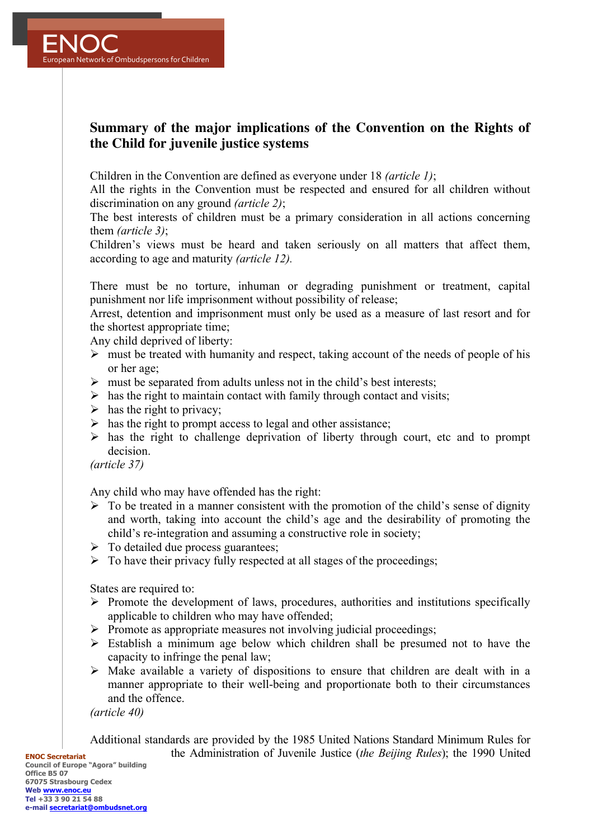

## **Summary of the major implications of the Convention on the Rights of the Child for juvenile justice systems**

Children in the Convention are defined as everyone under 18 *(article 1)*;

All the rights in the Convention must be respected and ensured for all children without discrimination on any ground *(article 2)*;

The best interests of children must be a primary consideration in all actions concerning them *(article 3)*;

Children's views must be heard and taken seriously on all matters that affect them, according to age and maturity *(article 12).*

There must be no torture, inhuman or degrading punishment or treatment, capital punishment nor life imprisonment without possibility of release;

Arrest, detention and imprisonment must only be used as a measure of last resort and for the shortest appropriate time;

Any child deprived of liberty:

- $\triangleright$  must be treated with humanity and respect, taking account of the needs of people of his or her age;
- $\triangleright$  must be separated from adults unless not in the child's best interests;
- $\triangleright$  has the right to maintain contact with family through contact and visits;
- $\triangleright$  has the right to privacy:
- $\triangleright$  has the right to prompt access to legal and other assistance;
- $\triangleright$  has the right to challenge deprivation of liberty through court, etc and to prompt decision.

*(article 37)*

Any child who may have offended has the right:

- $\triangleright$  To be treated in a manner consistent with the promotion of the child's sense of dignity and worth, taking into account the child's age and the desirability of promoting the child's re-integration and assuming a constructive role in society;
- $\triangleright$  To detailed due process guarantees;
- $\triangleright$  To have their privacy fully respected at all stages of the proceedings;

States are required to:

- $\triangleright$  Promote the development of laws, procedures, authorities and institutions specifically applicable to children who may have offended;
- Ø Promote as appropriate measures not involving judicial proceedings;
- $\triangleright$  Establish a minimum age below which children shall be presumed not to have the capacity to infringe the penal law;
- $\triangleright$  Make available a variety of dispositions to ensure that children are dealt with in a manner appropriate to their well-being and proportionate both to their circumstances and the offence.

*(article 40)*

Additional standards are provided by the 1985 United Nations Standard Minimum Rules for the Administration of Juvenile Justice (*the Beijing Rules*); the 1990 United